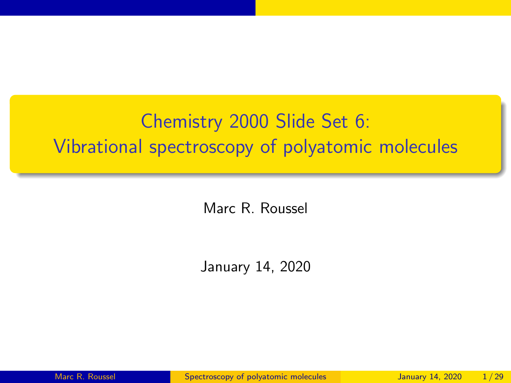# <span id="page-0-0"></span>Chemistry 2000 Slide Set 6: Vibrational spectroscopy of polyatomic molecules

Marc R. Roussel

January 14, 2020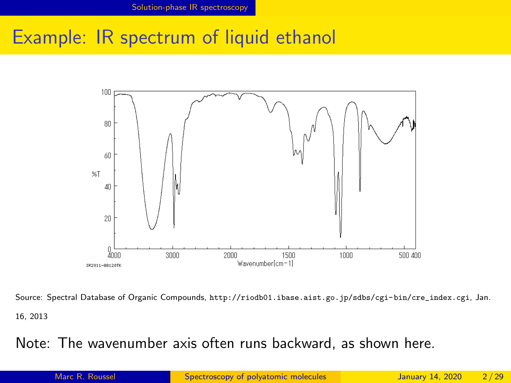### <span id="page-1-0"></span>Example: IR spectrum of liquid ethanol



Source: Spectral Database of Organic Compounds, [http://riodb01.ibase.aist.go.jp/sdbs/cgi-bin/cre\\_index.cgi](http://riodb01.ibase.aist.go.jp/sdbs/cgi-bin/cre_index.cgi), Jan. 16, 2013

#### Note: The wavenumber axis often runs backward, as shown here.

Marc R. Roussel [Spectroscopy of polyatomic molecules](#page-0-0) January 14, 2020 2/29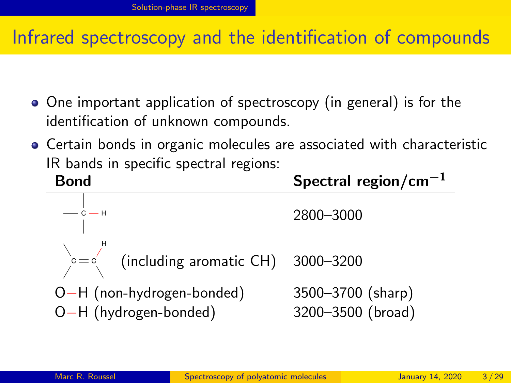### Infrared spectroscopy and the identification of compounds

- One important application of spectroscopy (in general) is for the identification of unknown compounds.
- Certain bonds in organic molecules are associated with characteristic IR bands in specific spectral regions:

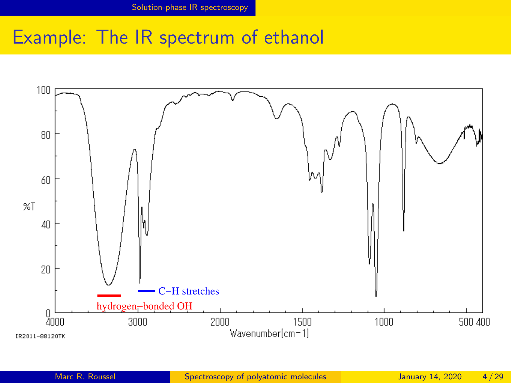### Example: The IR spectrum of ethanol

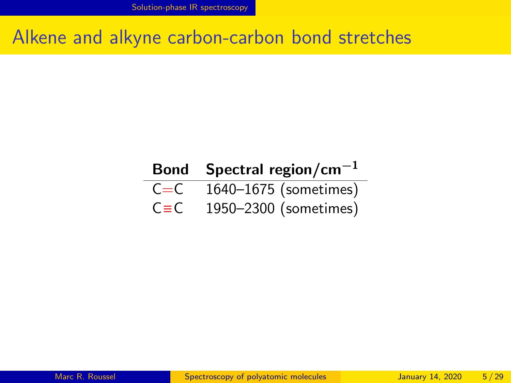[Solution-phase IR spectroscopy](#page-1-0)

#### Alkene and alkyne carbon-carbon bond stretches

#### Bond Spectral region/cm<sup>-1</sup>  $C=C - 1640 - 1675$  (sometimes)  $C \equiv C$  1950–2300 (sometimes)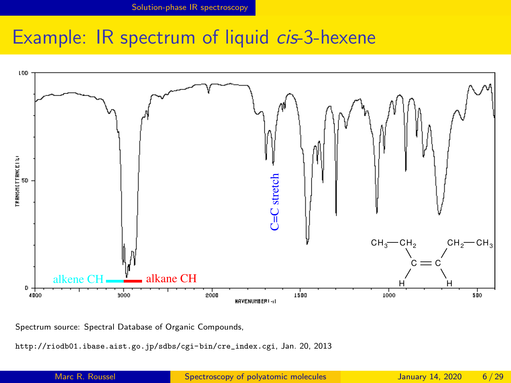#### Example: IR spectrum of liquid *cis*-3-hexene



Spectrum source: Spectral Database of Organic Compounds,

[http://riodb01.ibase.aist.go.jp/sdbs/cgi-bin/cre\\_index.cgi](http://riodb01.ibase.aist.go.jp/sdbs/cgi-bin/cre_index.cgi), Jan. 20, 2013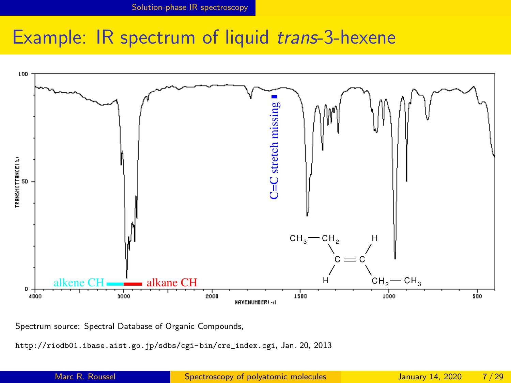#### Example: IR spectrum of liquid trans-3-hexene



Spectrum source: Spectral Database of Organic Compounds,

[http://riodb01.ibase.aist.go.jp/sdbs/cgi-bin/cre\\_index.cgi](http://riodb01.ibase.aist.go.jp/sdbs/cgi-bin/cre_index.cgi), Jan. 20, 2013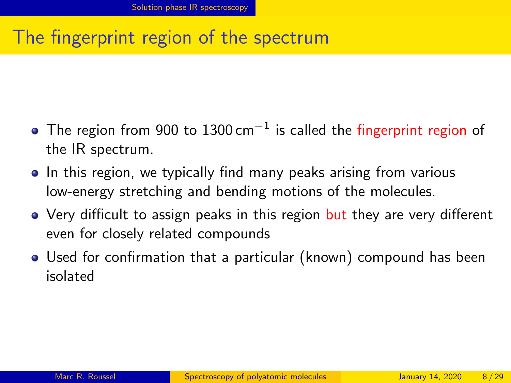## The fingerprint region of the spectrum

- The region from 900 to 1300 cm $^{-1}$  is called the fingerprint region of the IR spectrum.
- In this region, we typically find many peaks arising from various low-energy stretching and bending motions of the molecules.
- Very difficult to assign peaks in this region but they are very different even for closely related compounds
- Used for confirmation that a particular (known) compound has been isolated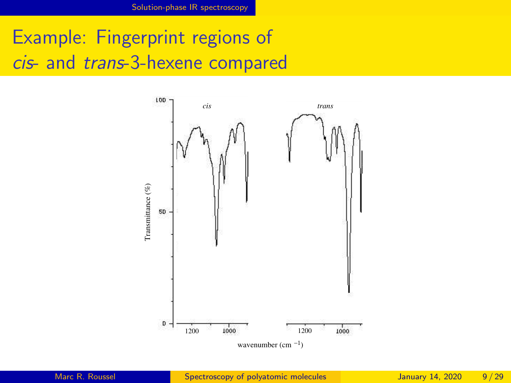[Solution-phase IR spectroscopy](#page-1-0)

Example: Fingerprint regions of cis- and trans-3-hexene compared

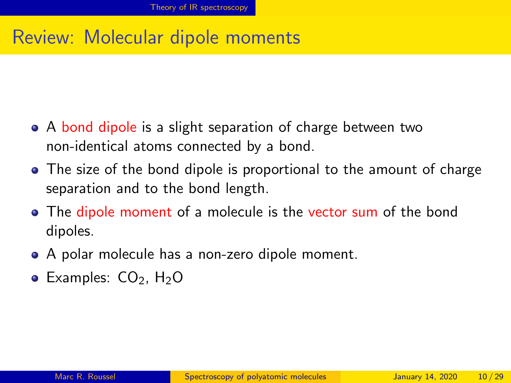#### <span id="page-9-0"></span>Review: Molecular dipole moments

- A bond dipole is a slight separation of charge between two non-identical atoms connected by a bond.
- The size of the bond dipole is proportional to the amount of charge separation and to the bond length.
- The dipole moment of a molecule is the vector sum of the bond dipoles.
- A polar molecule has a non-zero dipole moment.
- Examples:  $CO<sub>2</sub>$ , H<sub>2</sub>O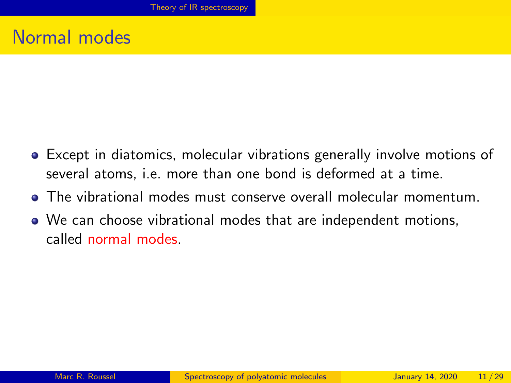#### Normal modes

- Except in diatomics, molecular vibrations generally involve motions of several atoms, i.e. more than one bond is deformed at a time.
- The vibrational modes must conserve overall molecular momentum.
- We can choose vibrational modes that are independent motions, called normal modes.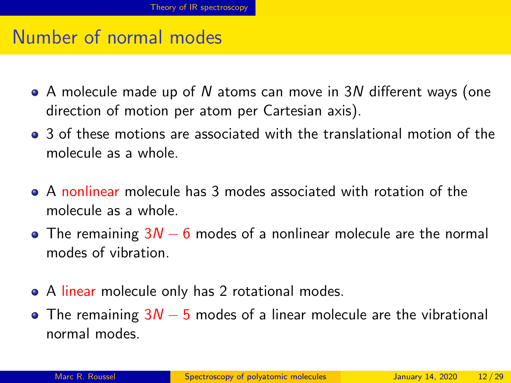#### Number of normal modes

- A molecule made up of N atoms can move in 3N different ways (one direction of motion per atom per Cartesian axis).
- 3 of these motions are associated with the translational motion of the molecule as a whole.
- A nonlinear molecule has 3 modes associated with rotation of the molecule as a whole.
- The remaining  $3N 6$  modes of a nonlinear molecule are the normal modes of vibration.
- A linear molecule only has 2 rotational modes.
- The remaining  $3N 5$  modes of a linear molecule are the vibrational normal modes.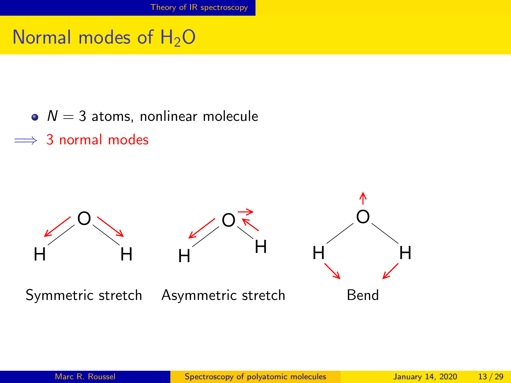### Normal modes of  $H_2O$

- $\bullet$   $N = 3$  atoms, nonlinear molecule
- $\implies$  3 normal modes

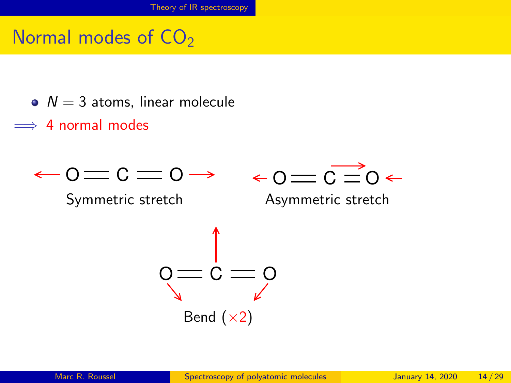### Normal modes of  $CO<sub>2</sub>$

- $\bullet$   $N = 3$  atoms, linear molecule
- $\implies$  4 normal modes

$$
\leftarrow \! \texttt{O}\! \equiv \! \texttt{C} \! \equiv \! \texttt{O} \! \rightarrow \!
$$



Symmetric stretch Asymmetric stretch

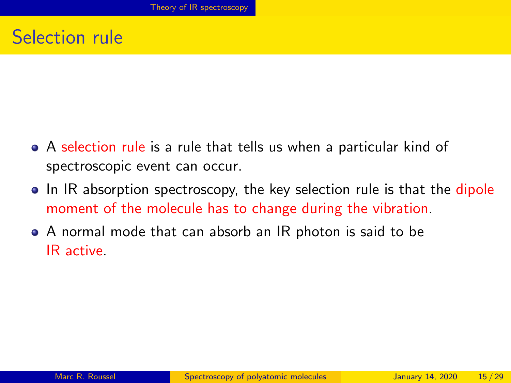#### Selection rule

- A selection rule is a rule that tells us when a particular kind of spectroscopic event can occur.
- In IR absorption spectroscopy, the key selection rule is that the dipole moment of the molecule has to change during the vibration.
- A normal mode that can absorb an IR photon is said to be IR active.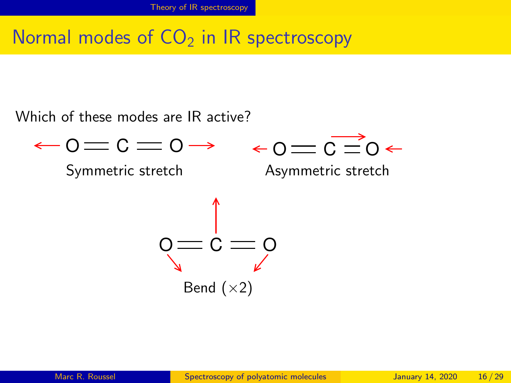### Normal modes of  $CO<sub>2</sub>$  in IR spectroscopy

Which of these modes are IR active?

$$
-0 = C = 0 \rightarrow 0 = \overrightarrow{C} = 0 \leftarrow
$$
  
\nSymmetric stretch  
\n
$$
0 = C = 0
$$
\n
$$
0 = C
$$
\n
$$
0 = 0
$$

Bend  $(x2)$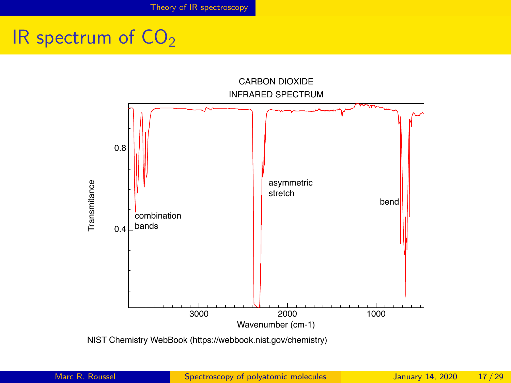## IR spectrum of  $CO<sub>2</sub>$



NIST Chemistry WebBook (https://webbook.nist.gov/chemistry)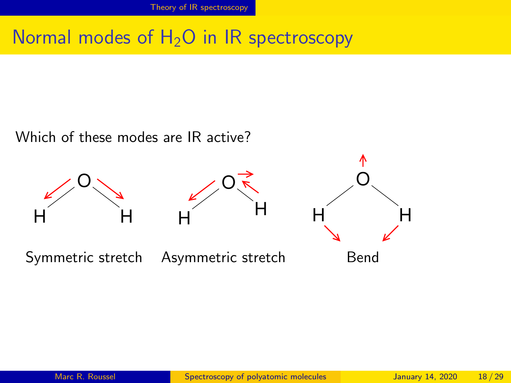### Normal modes of  $H_2O$  in IR spectroscopy

Which of these modes are IR active?

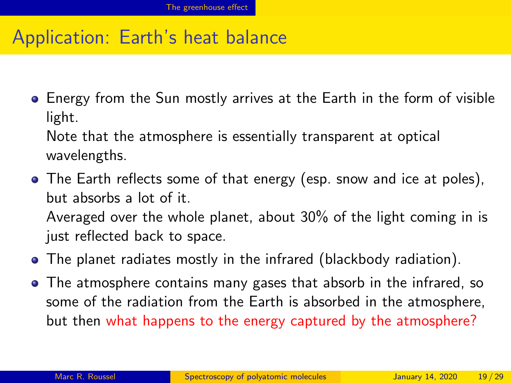### <span id="page-18-0"></span>Application: Earth's heat balance

**E** Energy from the Sun mostly arrives at the Earth in the form of visible light.

Note that the atmosphere is essentially transparent at optical wavelengths.

- The Earth reflects some of that energy (esp. snow and ice at poles), but absorbs a lot of it. Averaged over the whole planet, about 30% of the light coming in is just reflected back to space.
- The planet radiates mostly in the infrared (blackbody radiation).
- The atmosphere contains many gases that absorb in the infrared, so some of the radiation from the Earth is absorbed in the atmosphere, but then what happens to the energy captured by the atmosphere?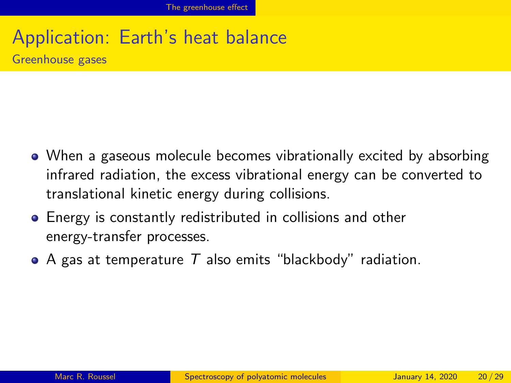# Application: Earth's heat balance

Greenhouse gases

- When a gaseous molecule becomes vibrationally excited by absorbing infrared radiation, the excess vibrational energy can be converted to translational kinetic energy during collisions.
- Energy is constantly redistributed in collisions and other energy-transfer processes.
- A gas at temperature  $T$  also emits "blackbody" radiation.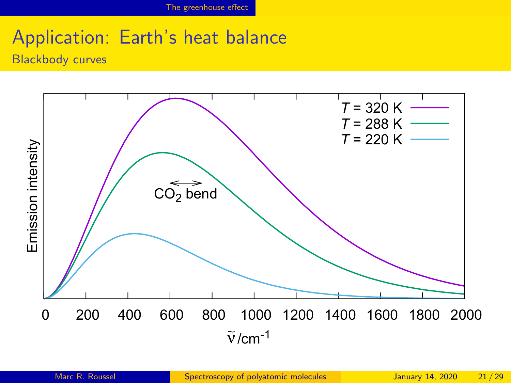## Application: Earth's heat balance

Blackbody curves

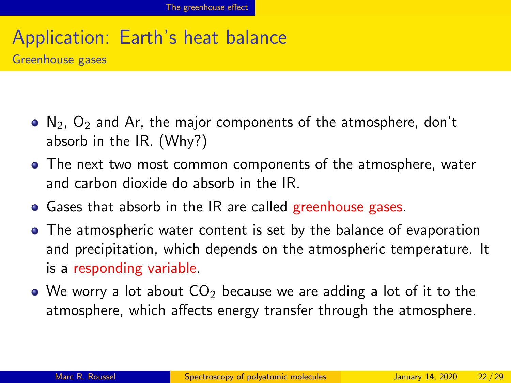## Application: Earth's heat balance

Greenhouse gases

- $\bullet$  N<sub>2</sub>, O<sub>2</sub> and Ar, the major components of the atmosphere, don't absorb in the IR. (Why?)
- The next two most common components of the atmosphere, water and carbon dioxide do absorb in the IR.
- Gases that absorb in the IR are called greenhouse gases.
- The atmospheric water content is set by the balance of evaporation and precipitation, which depends on the atmospheric temperature. It is a responding variable.
- $\bullet$  We worry a lot about  $CO<sub>2</sub>$  because we are adding a lot of it to the atmosphere, which affects energy transfer through the atmosphere.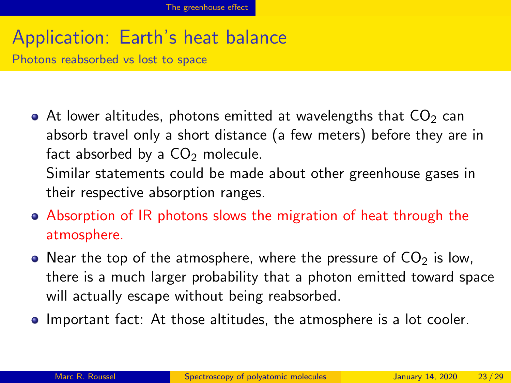## Application: Earth's heat balance

Photons reabsorbed vs lost to space

• At lower altitudes, photons emitted at wavelengths that  $CO<sub>2</sub>$  can absorb travel only a short distance (a few meters) before they are in fact absorbed by a  $CO<sub>2</sub>$  molecule. Similar statements could be made about other greenhouse gases in

their respective absorption ranges.

- Absorption of IR photons slows the migration of heat through the atmosphere.
- Near the top of the atmosphere, where the pressure of  $CO<sub>2</sub>$  is low, there is a much larger probability that a photon emitted toward space will actually escape without being reabsorbed.
- **Important fact:** At those altitudes, the atmosphere is a lot cooler.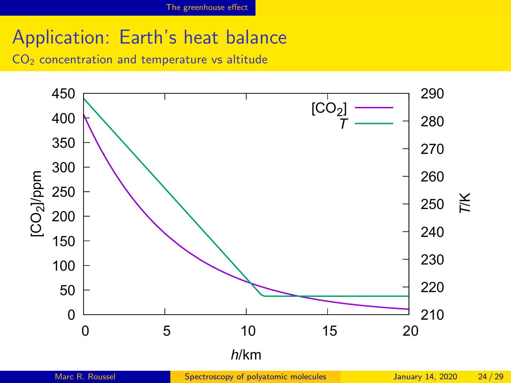## Application: Earth's heat balance

 $CO<sub>2</sub>$  concentration and temperature vs altitude

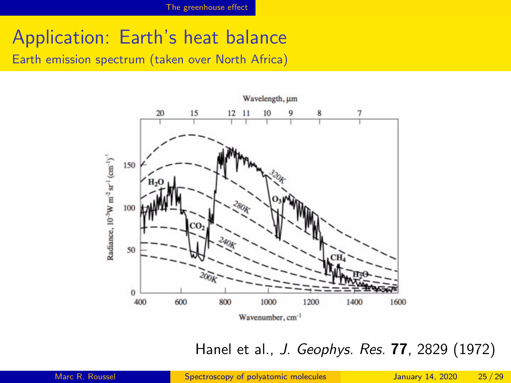### Application: Earth's heat balance

Earth emission spectrum (taken over North Africa)



Hanel et al., J. Geophys. Res. 77, 2829 (1972)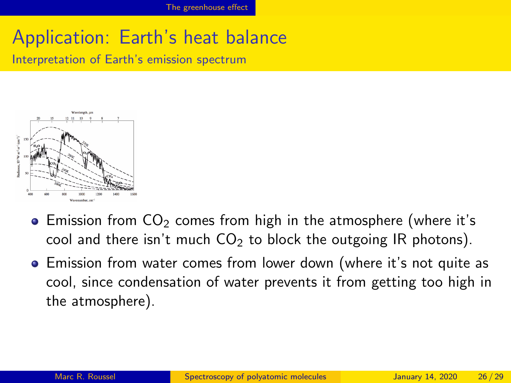## Application: Earth's heat balance

Interpretation of Earth's emission spectrum



- Emission from  $CO<sub>2</sub>$  comes from high in the atmosphere (where it's cool and there isn't much  $CO<sub>2</sub>$  to block the outgoing IR photons).
- **Emission from water comes from lower down (where it's not quite as** cool, since condensation of water prevents it from getting too high in the atmosphere).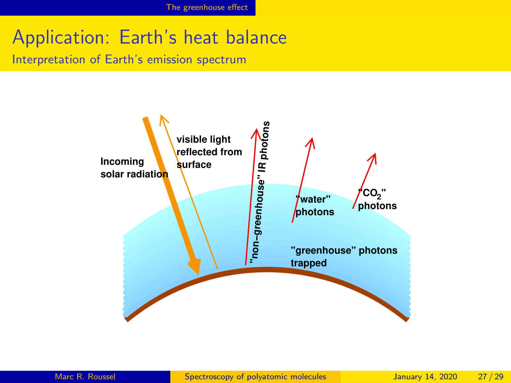## Application: Earth's heat balance

Interpretation of Earth's emission spectrum

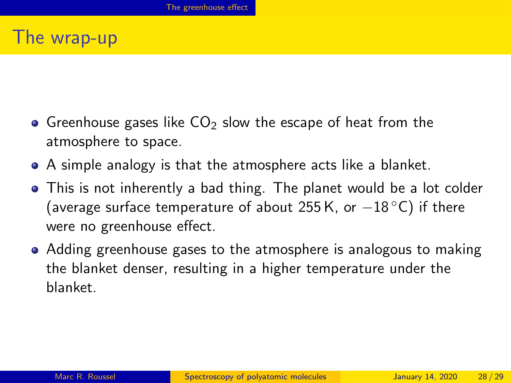#### The wrap-up

- Greenhouse gases like  $CO<sub>2</sub>$  slow the escape of heat from the atmosphere to space.
- A simple analogy is that the atmosphere acts like a blanket.
- This is not inherently a bad thing. The planet would be a lot colder (average surface temperature of about 255 K, or  $-18\text{ °C}$ ) if there were no greenhouse effect.
- Adding greenhouse gases to the atmosphere is analogous to making the blanket denser, resulting in a higher temperature under the blanket.